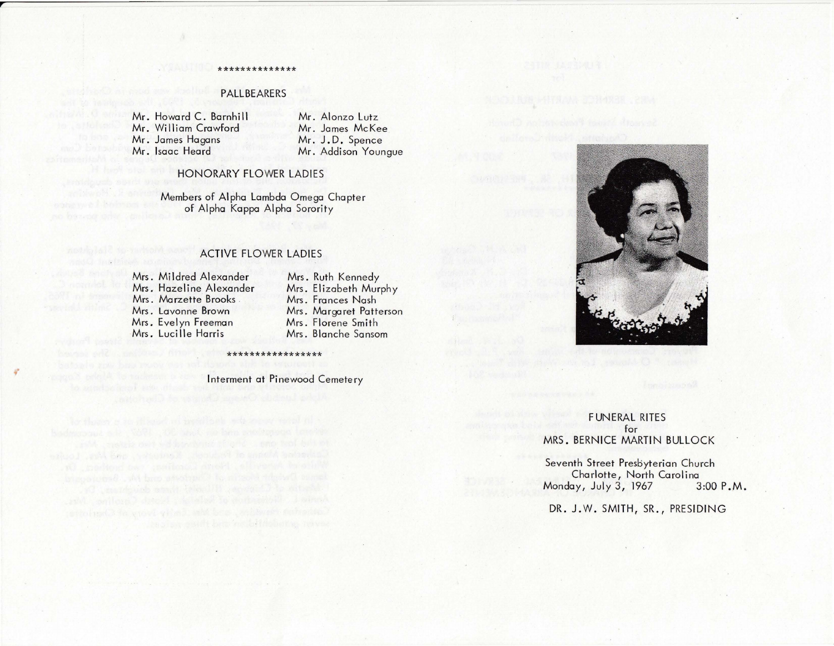## **PALLBEARERS**

\*\*\*\*\*\*\*\*\*\*\*\*\*

Mr. Howard C. Barnhill Mr. William Crawford Mr. James Hagans Mr. Isaac Heard

Mr. Alonzo Lutz Mr. James McKee Mr. J.D. Spence Mr. Addison Youngue

## HONORARY FLOWER LADIES

Members of Alpha Lambda Omega Chapter of Alpha Kappa Alpha Sorority

# ACTIVE FLOWER LADIES

Mrs. Mildred Alexander Mrs. Hazeline Alexander Mrs. Marzette Brooks Mrs. Lavonne Brown Mrs. Evelyn Freeman Mrs. Lucille Harris

Mrs. Ruth Kennedy Mrs. Elizabeth Murphy Mrs. Frances Nash Mrs. Margaret Patterson Mrs. Florene Smith Mrs . Blanche Sansom

Interment at Pinewood Cemetery

\*\*\*\*\*\*\*\*\*\*\*\*\*\*\*



# FUNERAL RITES for MRS. BERNICE MARTIN BULLOCK

Seventh Street Presbyterian Church Charlotte, North Carolina<br>lay, July 3, 1967 3:00 P.M. Monday, July 3, 1967

DR. J.W. SMITH, SR., PRESIDING